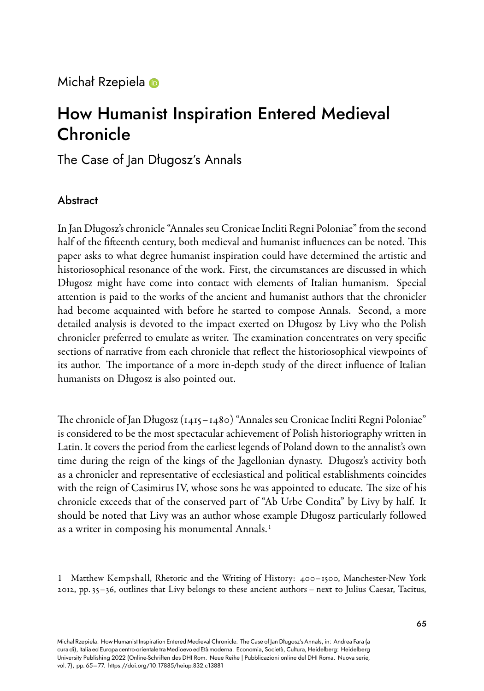Michał Rzepiela ®

# How Humanist Inspiration Entered Medieval Chronicle

The Case of Jan Długosz's Annals

## Abstract

In Jan Długosz's chronicle "Annales seu Cronicae Incliti Regni Poloniae" from the second half of the fifteenth century, both medieval and humanist influences can be noted. This paper asks to what degree humanist inspiration could have determined the artistic and historiosophical resonance of the work. First, the circumstances are discussed in which Długosz might have come into contact with elements of Italian humanism. Special attention is paid to the works of the ancient and humanist authors that the chronicler had become acquainted with before he started to compose Annals. Second, a more detailed analysis is devoted to the impact exerted on Długosz by Livy who the Polish chronicler preferred to emulate as writer. The examination concentrates on very specific sections of narrative from each chronicle that reflect the historiosophical viewpoints of its author. The importance of a more in-depth study of the direct influence of Italian humanists on Długosz is also pointed out.

The chronicle of Jan Długosz (1415–1480) "Annales seu Cronicae Incliti Regni Poloniae" is considered to be the most spectacular achievement of Polish historiography written in Latin. It covers the period from the earliest legends of Poland down to the annalist's own time during the reign of the kings of the Jagellonian dynasty. Długosz's activity both as a chronicler and representative of ecclesiastical and political establishments coincides with the reign of Casimirus IV, whose sons he was appointed to educate. The size of his chronicle exceeds that of the conserved part of "Ab Urbe Condita" by Livy by half. It should be noted that Livy was an author whose example Długosz particularly followed as a writer in composing his monumental Annals.<sup>1</sup>

1 Matthew Kempshall, Rhetoric and the Writing of History: 400-1500, Manchester-New York 2012, pp. 35–36, outlines that Livy belongs to these ancient authors – next to Julius Caesar, Tacitus,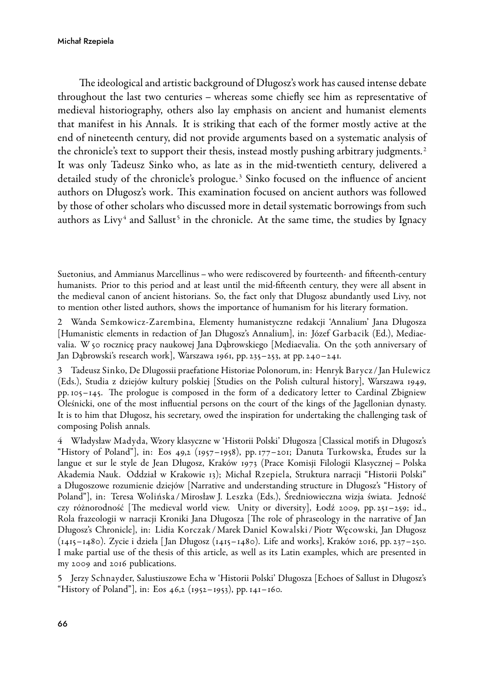The ideological and artistic background of Długosz's work has caused intense debate throughout the last two centuries – whereas some chiefly see him as representative of medieval historiography, others also lay emphasis on ancient and humanist elements that manifest in his Annals. It is striking that each of the former mostly active at the end of nineteenth century, did not provide arguments based on a systematic analysis of the chronicle's text to support their thesis, instead mostly pushing arbitrary judgments.<sup>2</sup> It was only Tadeusz Sinko who, as late as in the mid-twentieth century, delivered a detailed study of the chronicle's prologue. <sup>3</sup> Sinko focused on the influence of ancient authors on Długosz's work. This examination focused on ancient authors was followed by those of other scholars who discussed more in detail systematic borrowings from such authors as Livy $4$  and Sallust $5$  in the chronicle. At the same time, the studies by Ignacy

Suetonius, and Ammianus Marcellinus – who were rediscovered by fourteenth- and fifteenth-century humanists. Prior to this period and at least until the mid-fifteenth century, they were all absent in the medieval canon of ancient historians. So, the fact only that Długosz abundantly used Livy, not to mention other listed authors, shows the importance of humanism for his literary formation.

2 Wanda SemkowiczZarembina, Elementy humanistyczne redakcji 'Annalium' Jana Długosza [Humanistic elements in redaction of Jan Długosz's Annalium], in: Józef Garbacik (Ed.), Mediaevalia. W 50 rocznicę pracy naukowej Jana Dąbrowskiego [Mediaevalia. On the 50th anniversary of Jan Dąbrowski's research work], Warszawa 1961, pp. 235–253, at pp. 240–241.

3 Tadeusz Sinko, De Dlugossii praefatione Historiae Polonorum, in: Henryk Barycz / Jan Hulewicz (Eds.), Studia z dziejów kultury polskiej [Studies on the Polish cultural history], Warszawa 1949, pp. 105–145. The prologue is composed in the form of a dedicatory letter to Cardinal Zbigniew Oleśnicki, one of the most influential persons on the court of the kings of the Jagellonian dynasty. It is to him that Długosz, his secretary, owed the inspiration for undertaking the challenging task of composing Polish annals.

4 Władysław Madyda, Wzory klasyczne w 'Historii Polski' Długosza [Classical motifs in Długosz's "History of Poland"], in: Eos 49,2 (1957–1958), pp. 177–201; Danuta Turkowska, Études sur la langue et sur le style de Jean Długosz, Kraków 1973 (Prace Komisji Filologii Klasycznej – Polska Akademia Nauk. Oddział w Krakowie 13); Michał Rzepiela, Struktura narracji "Historii Polski" a Długoszowe rozumienie dziejów [Narrative and understanding structure in Długosz's "History of Poland"], in: Teresa Wolińska /Mirosław J. Leszka (Eds.), Średniowieczna wizja świata. Jedność czy różnorodność [The medieval world view. Unity or diversity], Łodź 2009, pp. 251–259; id., Rola frazeologii w narracji Kroniki Jana Długosza [The role of phraseology in the narrative of Jan Długosz's Chronicle], in: Lidia Korczak /Marek Daniel Kowalski / Piotr Węcowski, Jan Długosz (1415–1480). Zycie i dzieła [ Jan Długosz (1415–1480). Life and works], Kraków 2016, pp. 237–250. I make partial use of the thesis of this article, as well as its Latin examples, which are presented in my 2009 and 2016 publications.

5 Jerzy Schnayder, Salustiuszowe Echa w 'Historii Polski' Długosza [Echoes of Sallust in Długosz's "History of Poland"], in: Eos 46,2 (1952–1953), pp. 141–160.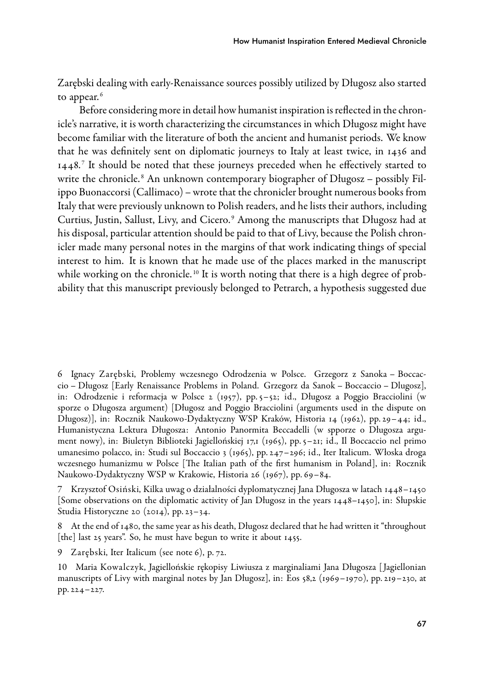Zarębski dealing with early-Renaissance sources possibly utilized by Długosz also started to appear.<sup>6</sup>

Before considering more in detail how humanist inspiration is reflected in the chronicle's narrative, it is worth characterizing the circumstances in which Długosz might have become familiar with the literature of both the ancient and humanist periods. We know that he was definitely sent on diplomatic journeys to Italy at least twice, in 1436 and 1448. <sup>7</sup> It should be noted that these journeys preceded when he effectively started to write the chronicle.<sup>8</sup> An unknown contemporary biographer of Długosz – possibly Filippo Buonaccorsi (Callimaco) – wrote that the chronicler brought numerous books from Italy that were previously unknown to Polish readers, and he lists their authors, including Curtius, Justin, Sallust, Livy, and Cicero. <sup>9</sup> Among the manuscripts that Długosz had at his disposal, particular attention should be paid to that of Livy, because the Polish chronicler made many personal notes in the margins of that work indicating things of special interest to him. It is known that he made use of the places marked in the manuscript while working on the chronicle.<sup>10</sup> It is worth noting that there is a high degree of probability that this manuscript previously belonged to Petrarch, a hypothesis suggested due

6 Ignacy Zarębski, Problemy wczesnego Odrodzenia w Polsce. Grzegorz z Sanoka – Boccaccio – Długosz [Early Renaissance Problems in Poland. Grzegorz da Sanok – Boccaccio – Dlugosz], in: Odrodzenie i reformacja w Polsce 2 (1957), pp. 5–52; id., Długosz a Poggio Bracciolini (w sporze o Długosza argument) [Długosz and Poggio Bracciolini (arguments used in the dispute on Długosz)], in: Rocznik Naukowo-Dydaktyczny WSP Kraków, Historia 14 (1962), pp. 29–44; id., Humanistyczna Lektura Długosza: Antonio Panormita Beccadelli (w spporze o Długosza argument nowy), in: Biuletyn Biblioteki Jagiellońskiej 17,1 (1965), pp. 5–21; id., Il Boccaccio nel primo umanesimo polacco, in: Studi sul Boccaccio 3 (1965), pp. 247–296; id., Iter Italicum. Włoska droga wczesnego humanizmu w Polsce [The Italian path of the first humanism in Poland], in: Rocznik Naukowo-Dydaktyczny WSP w Krakowie, Historia 26 (1967), pp. 69-84.

7 Krzysztof Osiński, Kilka uwag o działalności dyplomatycznej Jana Długosza w latach 1448–1450 [Some observations on the diplomatic activity of Jan Długosz in the years 1448–1450], in: Słupskie Studia Historyczne 20 (2014), pp. 23–34.

8 At the end of 1480, the same year as his death, Długosz declared that he had written it "throughout [the] last 25 years". So, he must have begun to write it about 1455.

<sup>9</sup> Zarębski, Iter Italicum (see note 6), p. 72.

<sup>10</sup> Maria Kowalczyk, Jagiellońskie rękopisy Liwiusza z marginaliami Jana Długosza [ Jagiellonian manuscripts of Livy with marginal notes by Jan Długosz], in: Eos 58,2 (1969–1970), pp. 219–230, at pp. 224–227.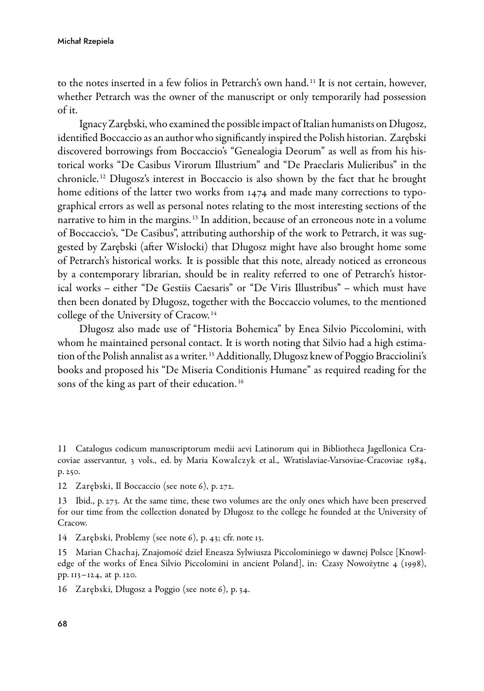#### Michał Rzepiela

to the notes inserted in a few folios in Petrarch's own hand. <sup>11</sup> It is not certain, however, whether Petrarch was the owner of the manuscript or only temporarily had possession of it.

Ignacy Zarębski, who examined the possible impact of Italian humanists on Długosz, identified Boccaccio as an author who significantly inspired the Polish historian. Zarębski discovered borrowings from Boccaccio's "Genealogia Deorum" as well as from his historical works "De Casibus Virorum Illustrium" and "De Praeclaris Mulieribus" in the chronicle. <sup>12</sup> Długosz's interest in Boccaccio is also shown by the fact that he brought home editions of the latter two works from 1474 and made many corrections to typographical errors as well as personal notes relating to the most interesting sections of the narrative to him in the margins. <sup>13</sup> In addition, because of an erroneous note in a volume of Boccaccio's, "De Casibus", attributing authorship of the work to Petrarch, it was suggested by Zarębski (after Wisłocki) that Długosz might have also brought home some of Petrarch's historical works. It is possible that this note, already noticed as erroneous by a contemporary librarian, should be in reality referred to one of Petrarch's historical works – either "De Gestiis Caesaris" or "De Viris Illustribus" – which must have then been donated by Długosz, together with the Boccaccio volumes, to the mentioned college of the University of Cracow. <sup>14</sup>

Długosz also made use of "Historia Bohemica" by Enea Silvio Piccolomini, with whom he maintained personal contact. It is worth noting that Silvio had a high estimation of the Polish annalist as a writer.<sup>15</sup> Additionally, Długosz knew of Poggio Bracciolini's books and proposed his "De Miseria Conditionis Humane" as required reading for the sons of the king as part of their education. <sup>16</sup>

11 Catalogus codicum manuscriptorum medii aevi Latinorum qui in Bibliotheca Jagellonica Cracoviae asservantur, 3 vols., ed. by Maria Kowalczyk et al., Wratislaviae-Varsoviae-Cracoviae 1984, p. 250.

12 Zarębski, Il Boccaccio (see note 6), p. 272.

13 Ibid., p. 273. At the same time, these two volumes are the only ones which have been preserved for our time from the collection donated by Długosz to the college he founded at the University of Cracow.

14 Zarębski, Problemy (see note 6), p. 43; cfr. note 13.

15 Marian Chachaj, Znajomość dzieł Eneasza Sylwiusza Piccolominiego w dawnej Polsce [Knowledge of the works of Enea Silvio Piccolomini in ancient Poland], in: Czasy Nowożytne 4 (1998), pp. 113–124, at p. 120.

16 Zarębski, Długosz a Poggio (see note 6), p. 34.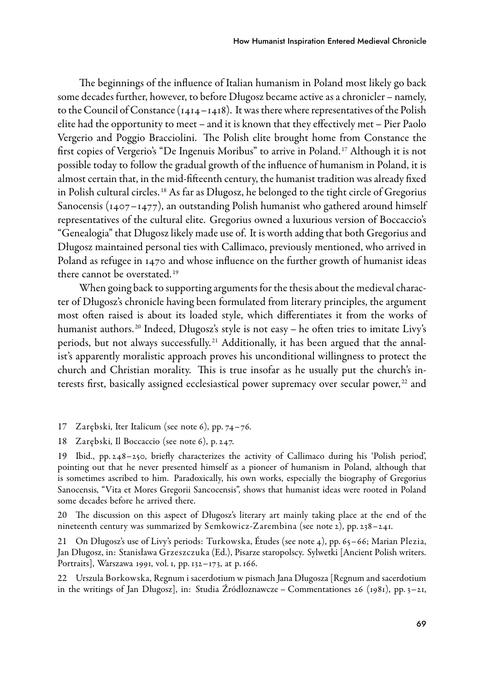The beginnings of the influence of Italian humanism in Poland most likely go back some decades further, however, to before Długosz became active as a chronicler – namely, to the Council of Constance (1414–1418). It was there where representatives of the Polish elite had the opportunity to meet – and it is known that they effectively met – Pier Paolo Vergerio and Poggio Bracciolini. The Polish elite brought home from Constance the first copies of Vergerio's "De Ingenuis Moribus" to arrive in Poland. <sup>17</sup> Although it is not possible today to follow the gradual growth of the influence of humanism in Poland, it is almost certain that, in the mid-fifteenth century, the humanist tradition was already fixed in Polish cultural circles. <sup>18</sup> As far as Długosz, he belonged to the tight circle of Gregorius Sanocensis ( $1407 - 1477$ ), an outstanding Polish humanist who gathered around himself representatives of the cultural elite. Gregorius owned a luxurious version of Boccaccio's "Genealogia" that Długosz likely made use of. It is worth adding that both Gregorius and Długosz maintained personal ties with Callimaco, previously mentioned, who arrived in Poland as refugee in 1470 and whose influence on the further growth of humanist ideas there cannot be overstated. <sup>19</sup>

When going back to supporting arguments for the thesis about the medieval character of Długosz's chronicle having been formulated from literary principles, the argument most often raised is about its loaded style, which differentiates it from the works of humanist authors.<sup>20</sup> Indeed, Długosz's style is not easy – he often tries to imitate Livy's periods, but not always successfully.<sup>21</sup> Additionally, it has been argued that the annalist's apparently moralistic approach proves his unconditional willingness to protect the church and Christian morality. This is true insofar as he usually put the church's interests first, basically assigned ecclesiastical power supremacy over secular power,<sup>22</sup> and

17 Zarębski, Iter Italicum (see note 6), pp. 74–76.

18 Zarębski, Il Boccaccio (see note 6), p. 247.

19 Ibid., pp. 248–250, briefly characterizes the activity of Callimaco during his 'Polish period', pointing out that he never presented himself as a pioneer of humanism in Poland, although that is sometimes ascribed to him. Paradoxically, his own works, especially the biography of Gregorius Sanocensis, "Vita et Mores Gregorii Sancocensis", shows that humanist ideas were rooted in Poland some decades before he arrived there.

20 The discussion on this aspect of Długosz's literary art mainly taking place at the end of the nineteenth century was summarized by Semkowicz-Zarembina (see note 2), pp. 238–241.

21 On Długosz's use of Livy's periods: Turkowska, Études (see note 4), pp. 65–66; Marian Plezia, Jan Długosz, in: Stanisława Grzeszczuka (Ed.), Pisarze staropolscy. Sylwetki [Ancient Polish writers. Portraits], Warszawa 1991, vol. 1, pp. 132–173, at p. 166.

22 Urszula Borkowska, Regnum i sacerdotium w pismach Jana Długosza [Regnum and sacerdotium in the writings of Jan Długosz], in: Studia Źródłoznawcze – Commentationes 26 (1981), pp. 3–21,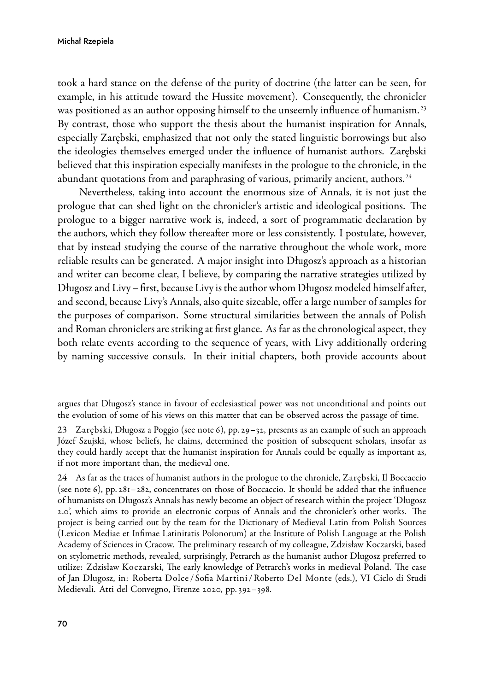took a hard stance on the defense of the purity of doctrine (the latter can be seen, for example, in his attitude toward the Hussite movement). Consequently, the chronicler was positioned as an author opposing himself to the unseemly influence of humanism.<sup>23</sup> By contrast, those who support the thesis about the humanist inspiration for Annals, especially Zarębski, emphasized that not only the stated linguistic borrowings but also the ideologies themselves emerged under the influence of humanist authors. Zarębski believed that this inspiration especially manifests in the prologue to the chronicle, in the abundant quotations from and paraphrasing of various, primarily ancient, authors.<sup>24</sup>

Nevertheless, taking into account the enormous size of Annals, it is not just the prologue that can shed light on the chronicler's artistic and ideological positions. The prologue to a bigger narrative work is, indeed, a sort of programmatic declaration by the authors, which they follow thereafter more or less consistently. I postulate, however, that by instead studying the course of the narrative throughout the whole work, more reliable results can be generated. A major insight into Długosz's approach as a historian and writer can become clear, I believe, by comparing the narrative strategies utilized by Długosz and Livy – first, because Livy is the author whom Długosz modeled himself after, and second, because Livy's Annals, also quite sizeable, offer a large number of samples for the purposes of comparison. Some structural similarities between the annals of Polish and Roman chroniclers are striking at first glance. As far as the chronological aspect, they both relate events according to the sequence of years, with Livy additionally ordering by naming successive consuls. In their initial chapters, both provide accounts about

argues that Długosz's stance in favour of ecclesiastical power was not unconditional and points out the evolution of some of his views on this matter that can be observed across the passage of time.

<sup>23</sup> Zarębski, Długosz a Poggio (see note 6), pp. 29–32, presents as an example of such an approach Józef Szujski, whose beliefs, he claims, determined the position of subsequent scholars, insofar as they could hardly accept that the humanist inspiration for Annals could be equally as important as, if not more important than, the medieval one.

<sup>24</sup> As far as the traces of humanist authors in the prologue to the chronicle, Zarębski, Il Boccaccio (see note 6), pp. 281–282, concentrates on those of Boccaccio. It should be added that the influence of humanists on Długosz's Annals has newly become an object of research within the project 'Długosz 2.0', which aims to provide an electronic corpus of Annals and the chronicler's other works. The project is being carried out by the team for the Dictionary of Medieval Latin from Polish Sources (Lexicon Mediae et Infimae Latinitatis Polonorum) at the Institute of Polish Language at the Polish Academy of Sciences in Cracow. The preliminary research of my colleague, Zdzisław Koczarski, based on stylometric methods, revealed, surprisingly, Petrarch as the humanist author Długosz preferred to utilize: Zdzisław Koczarski, The early knowledge of Petrarch's works in medieval Poland. The case of Jan Długosz, in: Roberta Dolce / Sofia Martini /Roberto Del Monte (eds.), VI Ciclo di Studi Medievali. Atti del Convegno, Firenze 2020, pp. 392–398.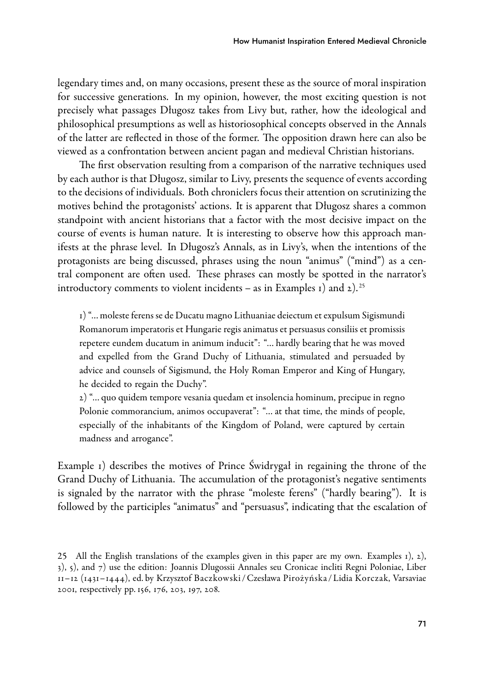legendary times and, on many occasions, present these as the source of moral inspiration for successive generations. In my opinion, however, the most exciting question is not precisely what passages Długosz takes from Livy but, rather, how the ideological and philosophical presumptions as well as historiosophical concepts observed in the Annals of the latter are reflected in those of the former. The opposition drawn here can also be viewed as a confrontation between ancient pagan and medieval Christian historians.

The first observation resulting from a comparison of the narrative techniques used by each author is that Długosz, similar to Livy, presents the sequence of events according to the decisions of individuals. Both chroniclers focus their attention on scrutinizing the motives behind the protagonists' actions. It is apparent that Długosz shares a common standpoint with ancient historians that a factor with the most decisive impact on the course of events is human nature. It is interesting to observe how this approach manifests at the phrase level. In Długosz's Annals, as in Livy's, when the intentions of the protagonists are being discussed, phrases using the noun "animus" ("mind") as a central component are often used. These phrases can mostly be spotted in the narrator's introductory comments to violent incidents – as in Examples 1) and  $2$ ).<sup>25</sup>

1) "… moleste ferens se de Ducatu magno Lithuaniae deiectum et expulsum Sigismundi Romanorum imperatoris et Hungarie regis animatus et persuasus consiliis et promissis repetere eundem ducatum in animum inducit": "… hardly bearing that he was moved and expelled from the Grand Duchy of Lithuania, stimulated and persuaded by advice and counsels of Sigismund, the Holy Roman Emperor and King of Hungary, he decided to regain the Duchy".

2) "… quo quidem tempore vesania quedam et insolencia hominum, precipue in regno Polonie commorancium, animos occupaverat": "… at that time, the minds of people, especially of the inhabitants of the Kingdom of Poland, were captured by certain madness and arrogance".

Example 1) describes the motives of Prince Świdrygał in regaining the throne of the Grand Duchy of Lithuania. The accumulation of the protagonist's negative sentiments is signaled by the narrator with the phrase "moleste ferens" ("hardly bearing"). It is followed by the participles "animatus" and "persuasus", indicating that the escalation of

<sup>25</sup> All the English translations of the examples given in this paper are my own. Examples 1), 2), 3), 5), and 7) use the edition: Joannis Dlugossii Annales seu Cronicae incliti Regni Poloniae, Liber 11–12 (1431–1444), ed. by Krzysztof Baczkowski / Czesława Pirożyńska / Lidia Korczak, Varsaviae 2001, respectively pp. 156, 176, 203, 197, 208.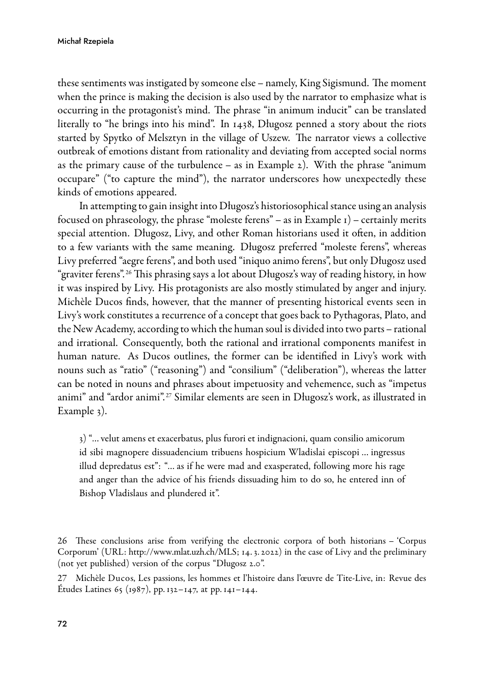#### Michał Rzepiela

these sentiments was instigated by someone else – namely, King Sigismund. The moment when the prince is making the decision is also used by the narrator to emphasize what is occurring in the protagonist's mind. The phrase "in animum inducit" can be translated literally to "he brings into his mind". In 1438, Długosz penned a story about the riots started by Spytko of Melsztyn in the village of Uszew. The narrator views a collective outbreak of emotions distant from rationality and deviating from accepted social norms as the primary cause of the turbulence – as in Example  $2$ ). With the phrase "animum occupare" ("to capture the mind"), the narrator underscores how unexpectedly these kinds of emotions appeared.

In attempting to gain insight into Długosz's historiosophical stance using an analysis focused on phraseology, the phrase "moleste ferens" – as in Example  $1$ ) – certainly merits special attention. Długosz, Livy, and other Roman historians used it often, in addition to a few variants with the same meaning. Długosz preferred "moleste ferens", whereas Livy preferred "aegre ferens", and both used "iniquo animo ferens", but only Długosz used "graviter ferens". <sup>26</sup> This phrasing says a lot about Długosz's way of reading history, in how it was inspired by Livy. His protagonists are also mostly stimulated by anger and injury. Michèle Ducos finds, however, that the manner of presenting historical events seen in Livy's work constitutes a recurrence of a concept that goes back to Pythagoras, Plato, and the New Academy, according to which the human soul is divided into two parts – rational and irrational. Consequently, both the rational and irrational components manifest in human nature. As Ducos outlines, the former can be identified in Livy's work with nouns such as "ratio" ("reasoning") and "consilium" ("deliberation"), whereas the latter can be noted in nouns and phrases about impetuosity and vehemence, such as "impetus animi" and "ardor animi". <sup>27</sup> Similar elements are seen in Długosz's work, as illustrated in Example 3).

3) "… velut amens et exacerbatus, plus furori et indignacioni, quam consilio amicorum id sibi magnopere dissuadencium tribuens hospicium Wladislai episcopi … ingressus illud depredatus est": "… as if he were mad and exasperated, following more his rage and anger than the advice of his friends dissuading him to do so, he entered inn of Bishop Vladislaus and plundered it".

<sup>26</sup> These conclusions arise from verifying the electronic corpora of both historians – 'Corpus Corporum' (URL:<http://www.mlat.uzh.ch/MLS>; 14. 3. 2022) in the case of Livy and the preliminary (not yet published) version of the corpus "Długosz 2.0".

<sup>27</sup> Michèle Ducos, Les passions, les hommes et l'histoire dans l'œuvre de Tite-Live, in: Revue des Etudes Latines 65 (1987), pp. 132–147, at pp. 141–144.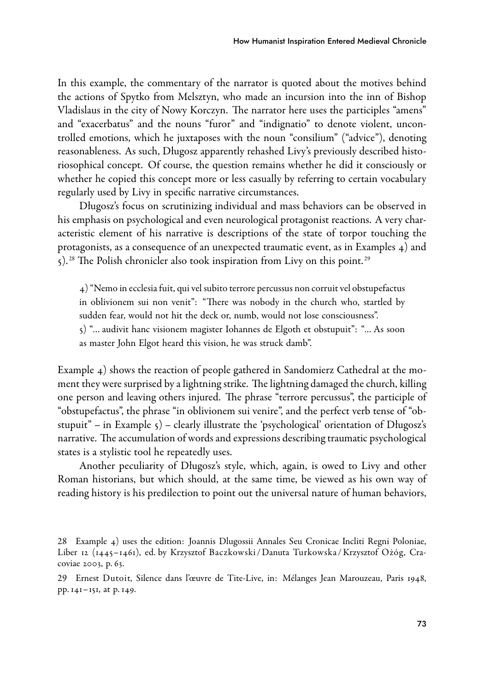In this example, the commentary of the narrator is quoted about the motives behind the actions of Spytko from Melsztyn, who made an incursion into the inn of Bishop Vladislaus in the city of Nowy Korczyn. The narrator here uses the participles "amens" and "exacerbatus" and the nouns "furor" and "indignatio" to denote violent, uncontrolled emotions, which he juxtaposes with the noun "consilium" ("advice"), denoting reasonableness. As such, Długosz apparently rehashed Livy's previously described historiosophical concept. Of course, the question remains whether he did it consciously or whether he copied this concept more or less casually by referring to certain vocabulary regularly used by Livy in specific narrative circumstances.

Długosz's focus on scrutinizing individual and mass behaviors can be observed in his emphasis on psychological and even neurological protagonist reactions. A very characteristic element of his narrative is descriptions of the state of torpor touching the protagonists, as a consequence of an unexpected traumatic event, as in Examples 4) and  $5$ ).<sup>28</sup> The Polish chronicler also took inspiration from Livy on this point.<sup>29</sup>

4) "Nemo in ecclesia fuit, qui vel subito terrore percussus non corruit vel obstupefactus in oblivionem sui non venit": "There was nobody in the church who, startled by sudden fear, would not hit the deck or, numb, would not lose consciousness". 5) "… audivit hanc visionem magister Iohannes de Elgoth et obstupuit": "… As soon as master John Elgot heard this vision, he was struck damb".

Example 4) shows the reaction of people gathered in Sandomierz Cathedral at the moment they were surprised by a lightning strike. The lightning damaged the church, killing one person and leaving others injured. The phrase "terrore percussus", the participle of "obstupefactus", the phrase "in oblivionem sui venire", and the perfect verb tense of "obstupuit" – in Example  $\varsigma$ ) – clearly illustrate the 'psychological' orientation of Długosz's narrative. The accumulation of words and expressions describing traumatic psychological states is a stylistic tool he repeatedly uses.

Another peculiarity of Długosz's style, which, again, is owed to Livy and other Roman historians, but which should, at the same time, be viewed as his own way of reading history is his predilection to point out the universal nature of human behaviors,

<sup>28</sup> Example 4) uses the edition: Joannis Dlugossii Annales Seu Cronicae Incliti Regni Poloniae, Liber 12 (1445–1461), ed. by Krzysztof Baczkowski /Danuta Turkowska /Krzysztof Ożóg, Cracoviae 2003, p. 63.

<sup>29</sup> Ernest Dutoit, Silence dans l'œuvre de TiteLive, in: Mélanges Jean Marouzeau, Paris 1948, pp. 141–151, at p. 149.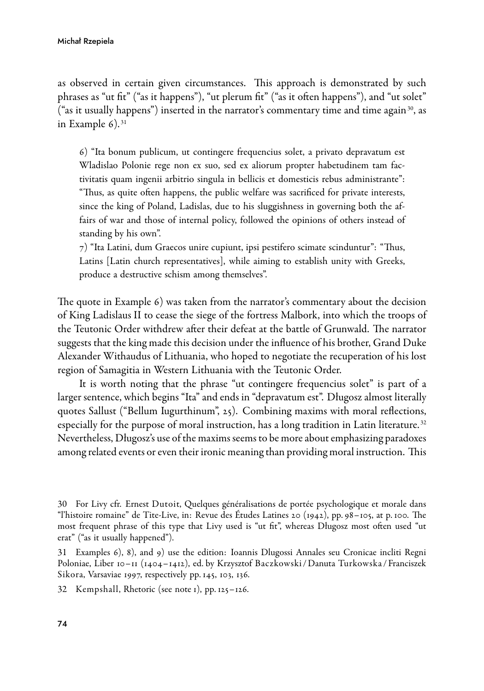as observed in certain given circumstances. This approach is demonstrated by such phrases as "ut fit" ("as it happens"), "ut plerum fit" ("as it often happens"), and "ut solet" ("as it usually happens") inserted in the narrator's commentary time and time again  $30$ , as in Example  $6$ ).<sup>31</sup>

6) "Ita bonum publicum, ut contingere frequencius solet, a privato depravatum est Wladislao Polonie rege non ex suo, sed ex aliorum propter habetudinem tam factivitatis quam ingenii arbitrio singula in bellicis et domesticis rebus administrante": "Thus, as quite often happens, the public welfare was sacrificed for private interests, since the king of Poland, Ladislas, due to his sluggishness in governing both the affairs of war and those of internal policy, followed the opinions of others instead of standing by his own".

7) "Ita Latini, dum Graecos unire cupiunt, ipsi pestifero scimate scinduntur": "Thus, Latins [Latin church representatives], while aiming to establish unity with Greeks, produce a destructive schism among themselves".

The quote in Example 6) was taken from the narrator's commentary about the decision of King Ladislaus II to cease the siege of the fortress Malbork, into which the troops of the Teutonic Order withdrew after their defeat at the battle of Grunwald. The narrator suggests that the king made this decision under the influence of his brother, Grand Duke Alexander Withaudus of Lithuania, who hoped to negotiate the recuperation of his lost region of Samagitia in Western Lithuania with the Teutonic Order.

It is worth noting that the phrase "ut contingere frequencius solet" is part of a larger sentence, which begins "Ita" and ends in "depravatum est". Długosz almost literally quotes Sallust ("Bellum Iugurthinum", 25). Combining maxims with moral reflections, especially for the purpose of moral instruction, has a long tradition in Latin literature.<sup>32</sup> Nevertheless, Długosz's use of the maxims seems to be more about emphasizing paradoxes among related events or even their ironic meaning than providing moral instruction. This

31 Examples 6), 8), and 9) use the edition: Ioannis Dlugossi Annales seu Cronicae incliti Regni Poloniae, Liber 10–11 (1404–1412), ed. by Krzysztof Baczkowski /Danuta Turkowska / Franciszek Sikora, Varsaviae 1997, respectively pp. 145, 103, 136.

32 Kempshall, Rhetoric (see note 1), pp. 125–126.

<sup>30</sup> For Livy cfr. Ernest Dutoit, Quelques généralisations de portée psychologique et morale dans "l'histoire romaine" de TiteLive, in: Revue des Études Latines 20 (1942), pp. 98–105, at p. 100. The most frequent phrase of this type that Livy used is "ut fit", whereas Długosz most often used "ut erat" ("as it usually happened").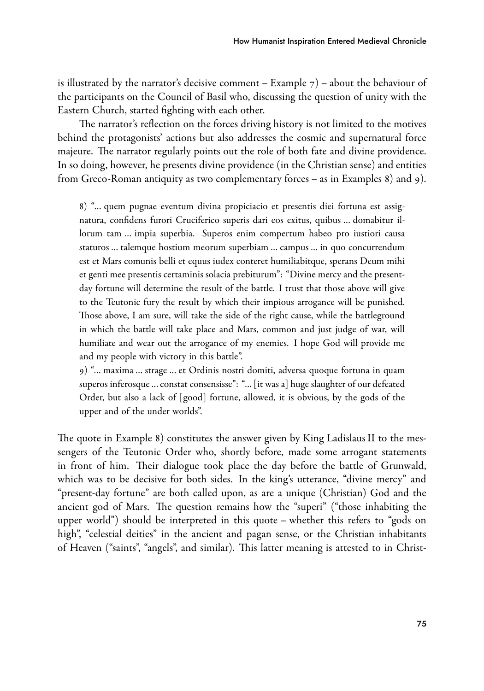is illustrated by the narrator's decisive comment – Example  $7$ ) – about the behaviour of the participants on the Council of Basil who, discussing the question of unity with the Eastern Church, started fighting with each other.

The narrator's reflection on the forces driving history is not limited to the motives behind the protagonists' actions but also addresses the cosmic and supernatural force majeure. The narrator regularly points out the role of both fate and divine providence. In so doing, however, he presents divine providence (in the Christian sense) and entities from Greco-Roman antiquity as two complementary forces – as in Examples 8) and 9).

8) "… quem pugnae eventum divina propiciacio et presentis diei fortuna est assignatura, confidens furori Cruciferico superis dari eos exitus, quibus … domabitur illorum tam … impia superbia. Superos enim compertum habeo pro iustiori causa staturos … talemque hostium meorum superbiam … campus … in quo concurrendum est et Mars comunis belli et equus iudex conteret humiliabitque, sperans Deum mihi et genti mee presentis certaminis solacia prebiturum": "Divine mercy and the presentday fortune will determine the result of the battle. I trust that those above will give to the Teutonic fury the result by which their impious arrogance will be punished. Those above, I am sure, will take the side of the right cause, while the battleground in which the battle will take place and Mars, common and just judge of war, will humiliate and wear out the arrogance of my enemies. I hope God will provide me and my people with victory in this battle".

9) "… maxima … strage … et Ordinis nostri domiti, adversa quoque fortuna in quam superos inferosque … constat consensisse": "… [it was a] huge slaughter of our defeated Order, but also a lack of [good] fortune, allowed, it is obvious, by the gods of the upper and of the under worlds".

The quote in Example 8) constitutes the answer given by King Ladislaus II to the messengers of the Teutonic Order who, shortly before, made some arrogant statements in front of him. Their dialogue took place the day before the battle of Grunwald, which was to be decisive for both sides. In the king's utterance, "divine mercy" and "present-day fortune" are both called upon, as are a unique (Christian) God and the ancient god of Mars. The question remains how the "superi" ("those inhabiting the upper world") should be interpreted in this quote – whether this refers to "gods on high", "celestial deities" in the ancient and pagan sense, or the Christian inhabitants of Heaven ("saints", "angels", and similar). This latter meaning is attested to in Christ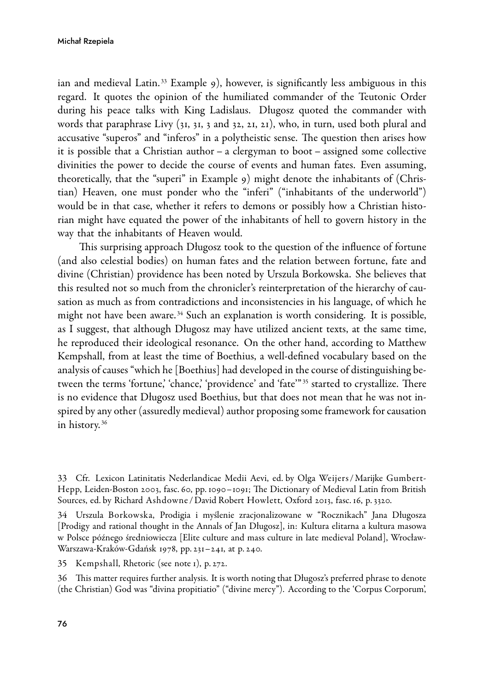ian and medieval Latin.<sup>33</sup> Example 9), however, is significantly less ambiguous in this regard. It quotes the opinion of the humiliated commander of the Teutonic Order during his peace talks with King Ladislaus. Długosz quoted the commander with words that paraphrase Livy (31, 31, 3 and 32, 21, 21), who, in turn, used both plural and accusative "superos" and "inferos" in a polytheistic sense. The question then arises how it is possible that a Christian author – a clergyman to boot – assigned some collective divinities the power to decide the course of events and human fates. Even assuming, theoretically, that the "superi" in Example 9) might denote the inhabitants of (Christian) Heaven, one must ponder who the "inferi" ("inhabitants of the underworld") would be in that case, whether it refers to demons or possibly how a Christian historian might have equated the power of the inhabitants of hell to govern history in the way that the inhabitants of Heaven would.

This surprising approach Długosz took to the question of the influence of fortune (and also celestial bodies) on human fates and the relation between fortune, fate and divine (Christian) providence has been noted by Urszula Borkowska. She believes that this resulted not so much from the chronicler's reinterpretation of the hierarchy of causation as much as from contradictions and inconsistencies in his language, of which he might not have been aware. <sup>34</sup> Such an explanation is worth considering. It is possible, as I suggest, that although Długosz may have utilized ancient texts, at the same time, he reproduced their ideological resonance. On the other hand, according to Matthew Kempshall, from at least the time of Boethius, a well-defined vocabulary based on the analysis of causes "which he [Boethius] had developed in the course of distinguishing between the terms 'fortune,' 'chance,' 'providence' and 'fate'" 35 started to crystallize. There is no evidence that Długosz used Boethius, but that does not mean that he was not inspired by any other (assuredly medieval) author proposing some framework for causation in history. <sup>36</sup>

33 Cfr. Lexicon Latinitatis Nederlandicae Medii Aevi, ed. by Olga Weijers /Marijke Gumbert-Hepp, Leiden-Boston 2003, fasc. 60, pp. 1090–1091; The Dictionary of Medieval Latin from British Sources, ed. by Richard Ashdowne /David Robert Howlett, Oxford 2013, fasc. 16, p. 3320.

34 Urszula Borkowska, Prodigia i myślenie zracjonalizowane w "Rocznikach" Jana Długosza [Prodigy and rational thought in the Annals of Jan Długosz], in: Kultura elitarna a kultura masowa w Polsce późnego średniowiecza [Elite culture and mass culture in late medieval Poland], Wrocław-Warszawa-Kraków-Gdańsk 1978, pp. 231–241, at p. 240.

35 Kempshall, Rhetoric (see note 1), p. 272.

36 This matter requires further analysis. It is worth noting that Długosz's preferred phrase to denote (the Christian) God was "divina propitiatio" ("divine mercy"). According to the 'Corpus Corporum',